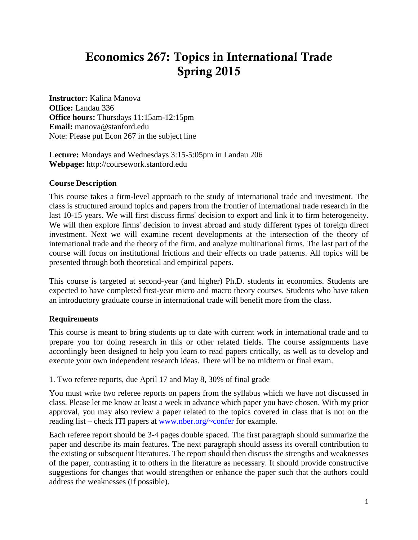# Economics 267: Topics in International Trade Spring 2015

**Instructor:** Kalina Manova **Office:** Landau 336 **Office hours:** Thursdays 11:15am-12:15pm **Email:** manova@stanford.edu Note: Please put Econ 267 in the subject line

**Lecture:** Mondays and Wednesdays 3:15-5:05pm in Landau 206 **Webpage:** http://coursework.stanford.edu

#### **Course Description**

This course takes a firm-level approach to the study of international trade and investment. The class is structured around topics and papers from the frontier of international trade research in the last 10-15 years. We will first discuss firms' decision to export and link it to firm heterogeneity. We will then explore firms' decision to invest abroad and study different types of foreign direct investment. Next we will examine recent developments at the intersection of the theory of international trade and the theory of the firm, and analyze multinational firms. The last part of the course will focus on institutional frictions and their effects on trade patterns. All topics will be presented through both theoretical and empirical papers.

This course is targeted at second-year (and higher) Ph.D. students in economics. Students are expected to have completed first-year micro and macro theory courses. Students who have taken an introductory graduate course in international trade will benefit more from the class.

#### **Requirements**

This course is meant to bring students up to date with current work in international trade and to prepare you for doing research in this or other related fields. The course assignments have accordingly been designed to help you learn to read papers critically, as well as to develop and execute your own independent research ideas. There will be no midterm or final exam.

1. Two referee reports, due April 17 and May 8, 30% of final grade

You must write two referee reports on papers from the syllabus which we have not discussed in class. Please let me know at least a week in advance which paper you have chosen. With my prior approval, you may also review a paper related to the topics covered in class that is not on the reading list – check ITI papers at [www.nber.org/~confer](http://www.nber.org/%7Econfer) for example.

Each referee report should be 3-4 pages double spaced. The first paragraph should summarize the paper and describe its main features. The next paragraph should assess its overall contribution to the existing or subsequent literatures. The report should then discuss the strengths and weaknesses of the paper, contrasting it to others in the literature as necessary. It should provide constructive suggestions for changes that would strengthen or enhance the paper such that the authors could address the weaknesses (if possible).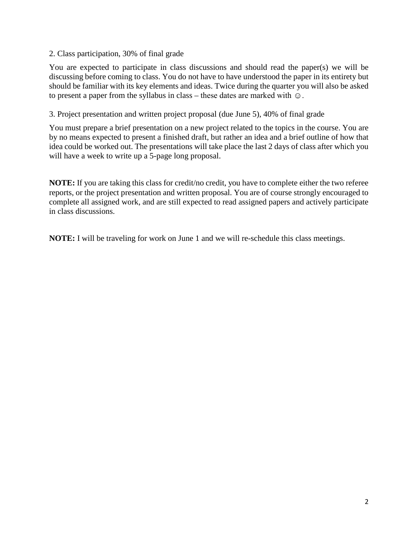#### 2. Class participation, 30% of final grade

You are expected to participate in class discussions and should read the paper(s) we will be discussing before coming to class. You do not have to have understood the paper in its entirety but should be familiar with its key elements and ideas. Twice during the quarter you will also be asked to present a paper from the syllabus in class – these dates are marked with  $\odot$ .

#### 3. Project presentation and written project proposal (due June 5), 40% of final grade

You must prepare a brief presentation on a new project related to the topics in the course. You are by no means expected to present a finished draft, but rather an idea and a brief outline of how that idea could be worked out. The presentations will take place the last 2 days of class after which you will have a week to write up a 5-page long proposal.

**NOTE:** If you are taking this class for credit/no credit, you have to complete either the two referee reports, or the project presentation and written proposal. You are of course strongly encouraged to complete all assigned work, and are still expected to read assigned papers and actively participate in class discussions.

**NOTE:** I will be traveling for work on June 1 and we will re-schedule this class meetings.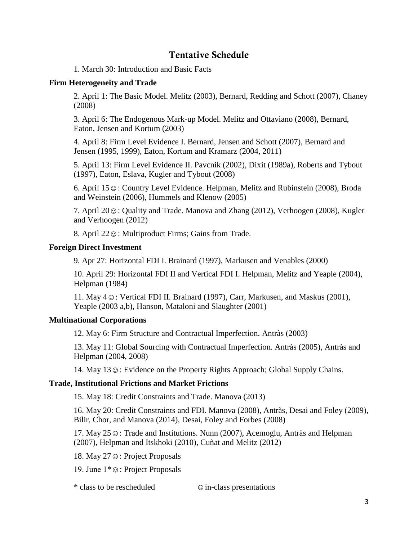## Tentative Schedule

1. March 30: Introduction and Basic Facts

#### **Firm Heterogeneity and Trade**

2. April 1: The Basic Model. Melitz (2003), Bernard, Redding and Schott (2007), Chaney (2008)

3. April 6: The Endogenous Mark-up Model. Melitz and Ottaviano (2008), Bernard, Eaton, Jensen and Kortum (2003)

4. April 8: Firm Level Evidence I. Bernard, Jensen and Schott (2007), Bernard and Jensen (1995, 1999), Eaton, Kortum and Kramarz (2004, 2011)

5. April 13: Firm Level Evidence II. Pavcnik (2002), Dixit (1989a), Roberts and Tybout (1997), Eaton, Eslava, Kugler and Tybout (2008)

6. April 15☺: Country Level Evidence. Helpman, Melitz and Rubinstein (2008), Broda and Weinstein (2006), Hummels and Klenow (2005)

7. April 20☺: Quality and Trade. Manova and Zhang (2012), Verhoogen (2008), Kugler and Verhoogen (2012)

8. April 22☺: Multiproduct Firms; Gains from Trade.

#### **Foreign Direct Investment**

9. Apr 27: Horizontal FDI I. Brainard (1997), Markusen and Venables (2000)

10. April 29: Horizontal FDI II and Vertical FDI I. Helpman, Melitz and Yeaple (2004), Helpman (1984)

11. May 4☺: Vertical FDI II. Brainard (1997), Carr, Markusen, and Maskus (2001), Yeaple (2003 a,b), Hanson, Mataloni and Slaughter (2001)

#### **Multinational Corporations**

12. May 6: Firm Structure and Contractual Imperfection. Antràs (2003)

13. May 11: Global Sourcing with Contractual Imperfection. Antràs (2005), Antràs and Helpman (2004, 2008)

14. May 13☺: Evidence on the Property Rights Approach; Global Supply Chains.

#### **Trade, Institutional Frictions and Market Frictions**

15. May 18: Credit Constraints and Trade. Manova (2013)

16. May 20: Credit Constraints and FDI. Manova (2008), Antràs, Desai and Foley (2009), Bilir, Chor, and Manova (2014), Desai, Foley and Forbes (2008)

17. May 25☺: Trade and Institutions. Nunn (2007), Acemoglu, Antràs and Helpman (2007), Helpman and Itskhoki (2010), Cuñat and Melitz (2012)

18. May 27☺: Project Proposals

19. June 1\*☺: Project Proposals

\* class to be rescheduled ☺in-class presentations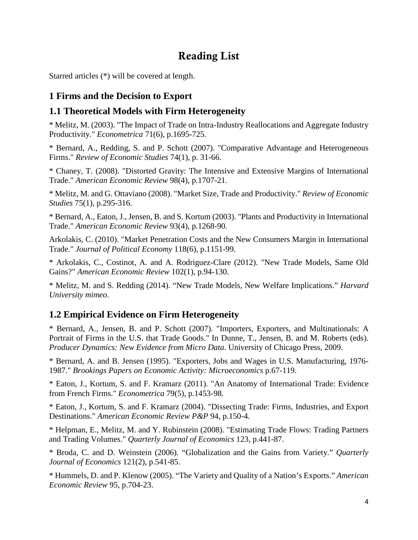# Reading List

Starred articles (\*) will be covered at length.

## **1 Firms and the Decision to Export**

### **1.1 Theoretical Models with Firm Heterogeneity**

\* Melitz, M. (2003). "The Impact of Trade on Intra-Industry Reallocations and Aggregate Industry Productivity." *Econometrica* 71(6), p.1695-725.

\* Bernard, A., Redding, S. and P. Schott (2007). "Comparative Advantage and Heterogeneous Firms." *Review of Economic Studies* 74(1), p. 31-66.

\* Chaney, T. (2008). "Distorted Gravity: The Intensive and Extensive Margins of International Trade." *American Economic Review* 98(4), p.1707-21.

\* Melitz, M. and G. Ottaviano (2008). "Market Size, Trade and Productivity." *Review of Economic Studies* 75(1), p.295-316.

\* Bernard, A., Eaton, J., Jensen, B. and S. Kortum (2003). "Plants and Productivity in International Trade." *American Economic Review* 93(4), p.1268-90.

Arkolakis, C. (2010). "Market Penetration Costs and the New Consumers Margin in International Trade." *Journal of Political Economy* 118(6), p.1151-99.

\* Arkolakis, C., Costinot, A. and A. Rodriguez-Clare (2012). "New Trade Models, Same Old Gains?" *American Economic Review* 102(1), p.94-130.

\* Melitz, M. and S. Redding (2014). "New Trade Models, New Welfare Implications." *Harvard University mimeo*.

# **1.2 Empirical Evidence on Firm Heterogeneity**

\* Bernard, A., Jensen, B. and P. Schott (2007). "Importers, Exporters, and Multinationals: A Portrait of Firms in the U.S. that Trade Goods." In Dunne, T., Jensen, B. and M. Roberts (eds). *Producer Dynamics: New Evidence from Micro Data*. University of Chicago Press, 2009.

\* Bernard, A. and B. Jensen (1995). "Exporters, Jobs and Wages in U.S. Manufacturing, 1976- 1987." *Brookings Papers on Economic Activity: Microeconomics* p.67-119.

\* Eaton, J., Kortum, S. and F. Kramarz (2011). "An Anatomy of International Trade: Evidence from French Firms." *Econometrica* 79(5), p.1453-98.

\* Eaton, J., Kortum, S. and F. Kramarz (2004). "Dissecting Trade: Firms, Industries, and Export Destinations." *American Economic Review P&P* 94, p.150-4.

\* Helpman, E., Melitz, M. and Y. Rubinstein (2008). "Estimating Trade Flows: Trading Partners and Trading Volumes." *Quarterly Journal of Economics* 123, p.441-87.

\* Broda, C. and D. Weinstein (2006). "Globalization and the Gains from Variety." *Quarterly Journal of Economics* 121(2), p.541-85.

\* Hummels, D. and P. Klenow (2005). "The Variety and Quality of a Nation's Exports." *American Economic Review* 95, p.704-23.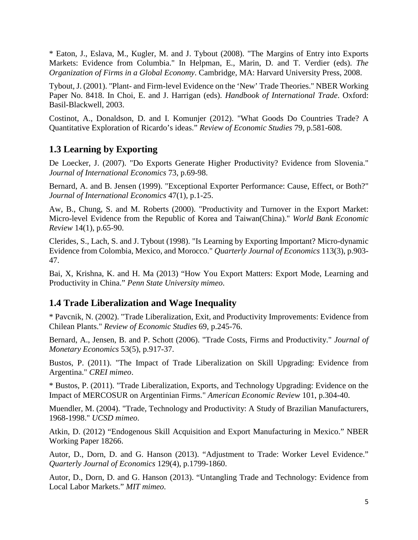\* Eaton, J., Eslava, M., Kugler, M. and J. Tybout (2008). "The Margins of Entry into Exports Markets: Evidence from Columbia." In Helpman, E., Marin, D. and T. Verdier (eds). *The Organization of Firms in a Global Economy*. Cambridge, MA: Harvard University Press, 2008.

Tybout, J. (2001). "Plant- and Firm-level Evidence on the 'New' Trade Theories." NBER Working Paper No. 8418. In Choi, E. and J. Harrigan (eds). *Handbook of International Trade*. Oxford: Basil-Blackwell, 2003.

Costinot, A., Donaldson, D. and I. Komunjer (2012). "What Goods Do Countries Trade? A Quantitative Exploration of Ricardo's ideas." *Review of Economic Studies* 79, p.581-608.

# **1.3 Learning by Exporting**

De Loecker, J. (2007). "Do Exports Generate Higher Productivity? Evidence from Slovenia." *Journal of International Economics* 73, p.69-98.

Bernard, A. and B. Jensen (1999). "Exceptional Exporter Performance: Cause, Effect, or Both?" *Journal of International Economics* 47(1), p.1-25.

Aw, B., Chung, S. and M. Roberts (2000). "Productivity and Turnover in the Export Market: Micro-level Evidence from the Republic of Korea and Taiwan(China)." *World Bank Economic Review* 14(1), p.65-90.

Clerides, S., Lach, S. and J. Tybout (1998). "Is Learning by Exporting Important? Micro-dynamic Evidence from Colombia, Mexico, and Morocco." *Quarterly Journal of Economics* 113(3), p.903- 47.

Bai, X, Krishna, K. and H. Ma (2013) "How You Export Matters: Export Mode, Learning and Productivity in China." *Penn State University mimeo*.

# **1.4 Trade Liberalization and Wage Inequality**

\* Pavcnik, N. (2002). "Trade Liberalization, Exit, and Productivity Improvements: Evidence from Chilean Plants." *Review of Economic Studies* 69, p.245-76.

Bernard, A., Jensen, B. and P. Schott (2006). "Trade Costs, Firms and Productivity." *Journal of Monetary Economics* 53(5), p.917-37.

Bustos, P. (2011). "The Impact of Trade Liberalization on Skill Upgrading: Evidence from Argentina." *CREI mimeo*.

\* Bustos, P. (2011). "Trade Liberalization, Exports, and Technology Upgrading: Evidence on the Impact of MERCOSUR on Argentinian Firms." *American Economic Review* 101, p.304-40.

Muendler, M. (2004). "Trade, Technology and Productivity: A Study of Brazilian Manufacturers, 1968-1998." *UCSD mimeo*.

Atkin, D. (2012) "Endogenous Skill Acquisition and Export Manufacturing in Mexico." NBER Working Paper 18266.

Autor, D., Dorn, D. and G. Hanson (2013). "Adjustment to Trade: Worker Level Evidence." *Quarterly Journal of Economics* 129(4), p.1799-1860.

Autor, D., Dorn, D. and G. Hanson (2013). "Untangling Trade and Technology: Evidence from Local Labor Markets." *MIT mimeo*.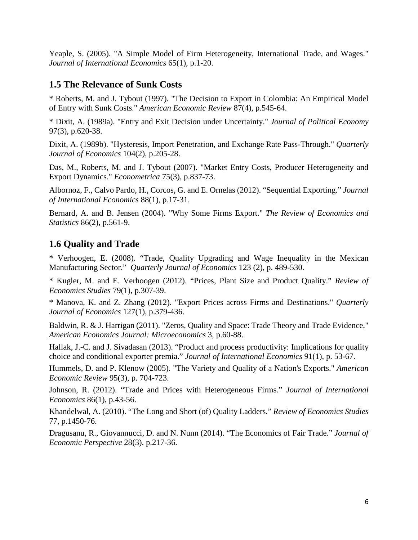Yeaple, S. (2005). "A Simple Model of Firm Heterogeneity, International Trade, and Wages." *Journal of International Economics* 65(1), p.1-20.

### **1.5 The Relevance of Sunk Costs**

\* Roberts, M. and J. Tybout (1997). "The Decision to Export in Colombia: An Empirical Model of Entry with Sunk Costs." *American Economic Review* 87(4), p.545-64.

\* Dixit, A. (1989a). "Entry and Exit Decision under Uncertainty." *Journal of Political Economy* 97(3), p.620-38.

Dixit, A. (1989b). "Hysteresis, Import Penetration, and Exchange Rate Pass-Through." *Quarterly Journal of Economics* 104(2), p.205-28.

Das, M., Roberts, M. and J. Tybout (2007). "Market Entry Costs, Producer Heterogeneity and Export Dynamics." *Econometrica* 75(3), p.837-73.

Albornoz, F., Calvo Pardo, H., Corcos, G. and E. Ornelas (2012). "Sequential Exporting." *Journal of International Economics* 88(1), p.17-31.

Bernard, A. and B. Jensen (2004). "Why Some Firms Export." *The Review of Economics and Statistics* 86(2), p.561-9.

### **1.6 Quality and Trade**

\* Verhoogen, E. (2008). "Trade, Quality Upgrading and Wage Inequality in the Mexican Manufacturing Sector." *Quarterly Journal of Economics* 123 (2), p. 489-530.

\* Kugler, M. and E. Verhoogen (2012). "Prices, Plant Size and Product Quality." *Review of Economics Studies* 79(1), p.307-39.

\* Manova, K. and Z. Zhang (2012). "Export Prices across Firms and Destinations." *Quarterly Journal of Economics* 127(1), p.379-436.

Baldwin, R. & J. Harrigan (2011). "Zeros, Quality and Space: Trade Theory and Trade Evidence," *American Economics Journal: Microeconomics* 3, p.60-88.

Hallak, J.-C. and J. Sivadasan (2013). "Product and process productivity: Implications for quality choice and conditional exporter premia." *Journal of International Economics* 91(1), p. 53-67.

Hummels, D. and P. Klenow (2005). "The Variety and Quality of a Nation's Exports." *American Economic Review* 95(3), p. 704-723.

Johnson, R. (2012). "Trade and Prices with Heterogeneous Firms." *Journal of International Economics* 86(1), p.43-56.

Khandelwal, A. (2010). "The Long and Short (of) Quality Ladders." *Review of Economics Studies* 77, p.1450-76.

Dragusanu, R., Giovannucci, D. and N. Nunn (2014). "The Economics of Fair Trade." *Journal of Economic Perspective* 28(3), p.217-36.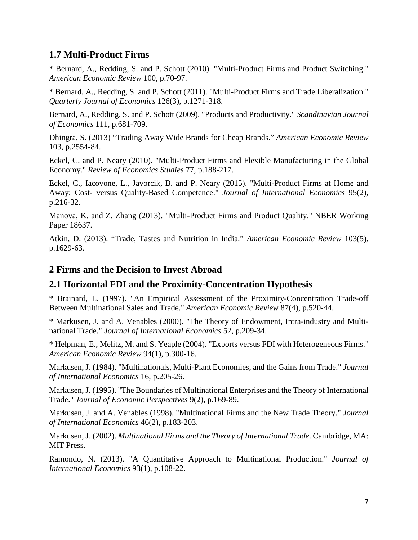### **1.7 Multi-Product Firms**

\* Bernard, A., Redding, S. and P. Schott (2010). "Multi-Product Firms and Product Switching." *American Economic Review* 100, p.70-97.

\* Bernard, A., Redding, S. and P. Schott (2011). "Multi-Product Firms and Trade Liberalization." *Quarterly Journal of Economics* 126(3), p.1271-318.

Bernard, A., Redding, S. and P. Schott (2009). "Products and Productivity." *Scandinavian Journal of Economics* 111, p.681-709.

Dhingra, S. (2013) "Trading Away Wide Brands for Cheap Brands." *American Economic Review* 103, p.2554-84.

Eckel, C. and P. Neary (2010). "Multi-Product Firms and Flexible Manufacturing in the Global Economy." *Review of Economics Studies* 77, p.188-217.

Eckel, C., Iacovone, L., Javorcik, B. and P. Neary (2015). "Multi-Product Firms at Home and Away: Cost- versus Quality-Based Competence." *Journal of International Economics* 95(2), p.216-32.

Manova, K. and Z. Zhang (2013). "Multi-Product Firms and Product Quality." NBER Working Paper 18637.

Atkin, D. (2013). "Trade, Tastes and Nutrition in India." *American Economic Review* 103(5), p.1629-63.

### **2 Firms and the Decision to Invest Abroad**

### **2.1 Horizontal FDI and the Proximity-Concentration Hypothesis**

\* Brainard, L. (1997). "An Empirical Assessment of the Proximity-Concentration Trade-off Between Multinational Sales and Trade." *American Economic Review* 87(4), p.520-44.

\* Markusen, J. and A. Venables (2000). "The Theory of Endowment, Intra-industry and Multinational Trade." *Journal of International Economics* 52, p.209-34.

\* Helpman, E., Melitz, M. and S. Yeaple (2004). "Exports versus FDI with Heterogeneous Firms." *American Economic Review* 94(1), p.300-16.

Markusen, J. (1984). "Multinationals, Multi-Plant Economies, and the Gains from Trade." *Journal of International Economics* 16, p.205-26.

Markusen, J. (1995). "The Boundaries of Multinational Enterprises and the Theory of International Trade." *Journal of Economic Perspectives* 9(2), p.169-89.

Markusen, J. and A. Venables (1998). "Multinational Firms and the New Trade Theory." *Journal of International Economics* 46(2), p.183-203.

Markusen, J. (2002). *Multinational Firms and the Theory of International Trade*. Cambridge, MA: MIT Press.

Ramondo, N. (2013). "A Quantitative Approach to Multinational Production." *Journal of International Economics* 93(1), p.108-22.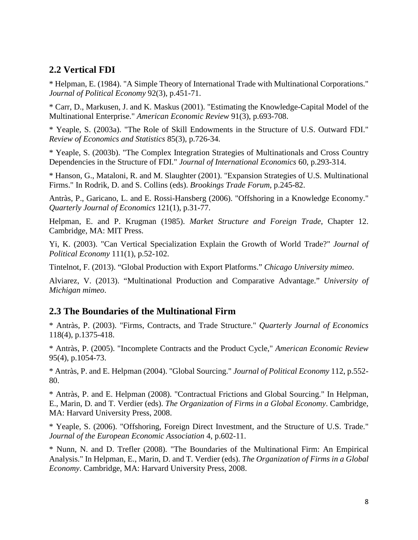### **2.2 Vertical FDI**

\* Helpman, E. (1984). "A Simple Theory of International Trade with Multinational Corporations." *Journal of Political Economy* 92(3), p.451-71.

\* Carr, D., Markusen, J. and K. Maskus (2001). "Estimating the Knowledge-Capital Model of the Multinational Enterprise." *American Economic Review* 91(3), p.693-708.

\* Yeaple, S. (2003a). "The Role of Skill Endowments in the Structure of U.S. Outward FDI." *Review of Economics and Statistics* 85(3), p.726-34.

\* Yeaple, S. (2003b). "The Complex Integration Strategies of Multinationals and Cross Country Dependencies in the Structure of FDI." *Journal of International Economics* 60, p.293-314.

\* Hanson, G., Mataloni, R. and M. Slaughter (2001). "Expansion Strategies of U.S. Multinational Firms." In Rodrik, D. and S. Collins (eds). *Brookings Trade Forum*, p.245-82.

Antràs, P., Garicano, L. and E. Rossi-Hansberg (2006). "Offshoring in a Knowledge Economy." *Quarterly Journal of Economics* 121(1), p.31-77.

Helpman, E. and P. Krugman (1985). *Market Structure and Foreign Trade*, Chapter 12. Cambridge, MA: MIT Press.

Yi, K. (2003). "Can Vertical Specialization Explain the Growth of World Trade?" *Journal of Political Economy* 111(1), p.52-102.

Tintelnot, F. (2013). "Global Production with Export Platforms." *Chicago University mimeo*.

Alviarez, V. (2013). "Multinational Production and Comparative Advantage." *University of Michigan mimeo*.

### **2.3 The Boundaries of the Multinational Firm**

\* Antràs, P. (2003). "Firms, Contracts, and Trade Structure." *Quarterly Journal of Economics* 118(4), p.1375-418.

\* Antràs, P. (2005). "Incomplete Contracts and the Product Cycle," *American Economic Review* 95(4), p.1054-73.

\* Antràs, P. and E. Helpman (2004). "Global Sourcing." *Journal of Political Economy* 112, p.552- 80.

\* Antràs, P. and E. Helpman (2008). "Contractual Frictions and Global Sourcing." In Helpman, E., Marin, D. and T. Verdier (eds). *The Organization of Firms in a Global Economy*. Cambridge, MA: Harvard University Press, 2008.

\* Yeaple, S. (2006). "Offshoring, Foreign Direct Investment, and the Structure of U.S. Trade." *Journal of the European Economic Association* 4, p.602-11.

\* Nunn, N. and D. Trefler (2008). "The Boundaries of the Multinational Firm: An Empirical Analysis." In Helpman, E., Marin, D. and T. Verdier (eds). *The Organization of Firms in a Global Economy*. Cambridge, MA: Harvard University Press, 2008.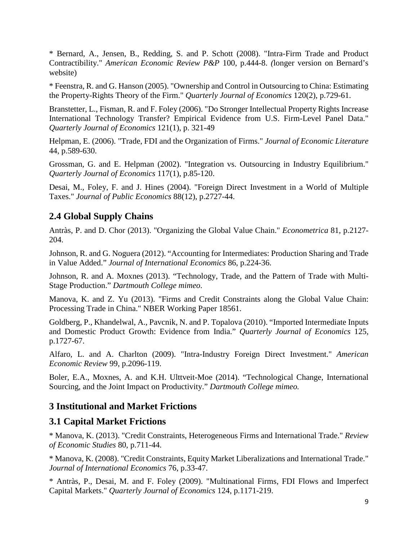\* Bernard, A., Jensen, B., Redding, S. and P. Schott (2008). "Intra-Firm Trade and Product Contractibility." *American Economic Review P&P* 100, p.444-8. *(*longer version on Bernard's website)

\* Feenstra, R. and G. Hanson (2005). "Ownership and Control in Outsourcing to China: Estimating the Property-Rights Theory of the Firm." *Quarterly Journal of Economics* 120(2), p.729-61.

Branstetter, L., Fisman, R. and F. Foley (2006). "Do Stronger Intellectual Property Rights Increase International Technology Transfer? Empirical Evidence from U.S. Firm-Level Panel Data." *Quarterly Journal of Economics* 121(1), p. 321-49

Helpman, E. (2006). "Trade, FDI and the Organization of Firms." *Journal of Economic Literature* 44, p.589-630.

Grossman, G. and E. Helpman (2002). "Integration vs. Outsourcing in Industry Equilibrium." *Quarterly Journal of Economics* 117(1), p.85-120.

Desai, M., Foley, F. and J. Hines (2004). "Foreign Direct Investment in a World of Multiple Taxes." *Journal of Public Economics* 88(12), p.2727-44.

# **2.4 Global Supply Chains**

Antràs, P. and D. Chor (2013). "Organizing the Global Value Chain." *Econometrica* 81, p.2127- 204.

Johnson, R. and G. Noguera (2012). "Accounting for Intermediates: Production Sharing and Trade in Value Added." *Journal of International Economics* 86, p.224-36.

Johnson, R. and A. Moxnes (2013). "Technology, Trade, and the Pattern of Trade with Multi-Stage Production." *Dartmouth College mimeo*.

Manova, K. and Z. Yu (2013). "Firms and Credit Constraints along the Global Value Chain: Processing Trade in China." NBER Working Paper 18561.

Goldberg, P., Khandelwal, A., Pavcnik, N. and P. Topalova (2010). "Imported Intermediate Inputs and Domestic Product Growth: Evidence from India." *Quarterly Journal of Economics* 125, p.1727-67.

Alfaro, L. and A. Charlton (2009). "Intra-Industry Foreign Direct Investment." *American Economic Review* 99, p.2096-119.

Boler, E.A., Moxnes, A. and K.H. Ulttveit-Moe (2014). "Technological Change, International Sourcing, and the Joint Impact on Productivity." *Dartmouth College mimeo.*

### **3 Institutional and Market Frictions**

### **3.1 Capital Market Frictions**

\* Manova, K. (2013). "Credit Constraints, Heterogeneous Firms and International Trade." *Review of Economic Studies* 80, p.711-44.

\* Manova, K. (2008). "Credit Constraints, Equity Market Liberalizations and International Trade." *Journal of International Economics* 76, p.33-47.

\* Antràs, P., Desai, M. and F. Foley (2009). "Multinational Firms, FDI Flows and Imperfect Capital Markets." *Quarterly Journal of Economics* 124, p.1171-219.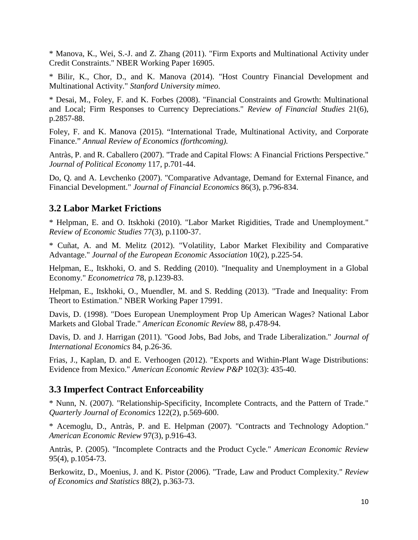\* Manova, K., Wei, S.-J. and Z. Zhang (2011). "Firm Exports and Multinational Activity under Credit Constraints." NBER Working Paper 16905.

\* Bilir, K., Chor, D., and K. Manova (2014). "Host Country Financial Development and Multinational Activity." *Stanford University mimeo*.

\* Desai, M., Foley, F. and K. Forbes (2008). "Financial Constraints and Growth: Multinational and Local; Firm Responses to Currency Depreciations." *Review of Financial Studies* 21(6), p.2857-88.

Foley, F. and K. Manova (2015). "International Trade, Multinational Activity, and Corporate Finance." *Annual Review of Economics (forthcoming).*

Antràs, P. and R. Caballero (2007). "Trade and Capital Flows: A Financial Frictions Perspective." *Journal of Political Economy* 117, p.701-44.

Do, Q. and A. Levchenko (2007). "Comparative Advantage, Demand for External Finance, and Financial Development." *Journal of Financial Economics* 86(3), p.796-834.

### **3.2 Labor Market Frictions**

\* Helpman, E. and O. Itskhoki (2010). "Labor Market Rigidities, Trade and Unemployment." *Review of Economic Studies* 77(3), p.1100-37.

\* Cuñat, A. and M. Melitz (2012). "Volatility, Labor Market Flexibility and Comparative Advantage." *Journal of the European Economic Association* 10(2), p.225-54.

Helpman, E., Itskhoki, O. and S. Redding (2010). "Inequality and Unemployment in a Global Economy." *Econometrica* 78, p.1239-83.

Helpman, E., Itskhoki, O., Muendler, M. and S. Redding (2013). "Trade and Inequality: From Theort to Estimation." NBER Working Paper 17991.

Davis, D. (1998). "Does European Unemployment Prop Up American Wages? National Labor Markets and Global Trade." *American Economic Review* 88, p.478-94.

Davis, D. and J. Harrigan (2011). "Good Jobs, Bad Jobs, and Trade Liberalization." *Journal of International Economics* 84, p.26-36.

Frias, J., Kaplan, D. and E. Verhoogen (2012). "Exports and Within-Plant Wage Distributions: Evidence from Mexico." *American Economic Review P&P* 102(3): 435-40.

### **3.3 Imperfect Contract Enforceability**

\* Nunn, N. (2007). "Relationship-Specificity, Incomplete Contracts, and the Pattern of Trade." *Quarterly Journal of Economics* 122(2), p.569-600.

\* Acemoglu, D., Antràs, P. and E. Helpman (2007). "Contracts and Technology Adoption." *American Economic Review* 97(3), p.916-43.

Antràs, P. (2005). "Incomplete Contracts and the Product Cycle." *American Economic Review* 95(4), p.1054-73.

Berkowitz, D., Moenius, J. and K. Pistor (2006). "Trade, Law and Product Complexity." *Review of Economics and Statistics* 88(2), p.363-73.